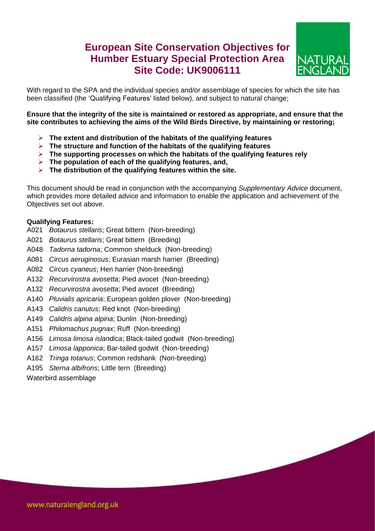## **European Site Conservation Objectives for Humber Estuary Special Protection Area Site Code: UK9006111**



With regard to the SPA and the individual species and/or assemblage of species for which the site has been classified (the 'Qualifying Features' listed below), and subject to natural change;

**Ensure that the integrity of the site is maintained or restored as appropriate, and ensure that the site contributes to achieving the aims of the Wild Birds Directive, by maintaining or restoring;**

- **The extent and distribution of the habitats of the qualifying features**
- **The structure and function of the habitats of the qualifying features**
- **The supporting processes on which the habitats of the qualifying features rely**
- **The population of each of the qualifying features, and,**
- **The distribution of the qualifying features within the site.**

This document should be read in conjunction with the accompanying *Supplementary Advice* document, which provides more detailed advice and information to enable the application and achievement of the Objectives set out above.

## **Qualifying Features:**

- A021 *Botaurus stellaris*; Great bittern (Non-breeding)
- A021 *Botaurus stellaris*; Great bittern (Breeding)
- A048 *Tadorna tadorna*; Common shelduck (Non-breeding)
- A081 *Circus aeruginosus*; Eurasian marsh harrier (Breeding)
- A082 *Circus cyaneus*; Hen harrier (Non-breeding)
- A132 *Recurvirostra avosetta*; Pied avocet (Non-breeding)
- A132 *Recurvirostra avosetta*; Pied avocet (Breeding)
- A140 *Pluvialis apricaria*; European golden plover (Non-breeding)
- A143 *Calidris canutus*; Red knot (Non-breeding)
- A149 *Calidris alpina alpina*; Dunlin (Non-breeding)
- A151 *Philomachus pugnax*; Ruff (Non-breeding)
- A156 *Limosa limosa islandica*; Black-tailed godwit (Non-breeding)
- A157 *Limosa lapponica*; Bar-tailed godwit (Non-breeding)
- A162 *Tringa totanus*; Common redshank (Non-breeding)
- A195 *Sterna albifrons*; Little tern (Breeding)

Waterbird assemblage